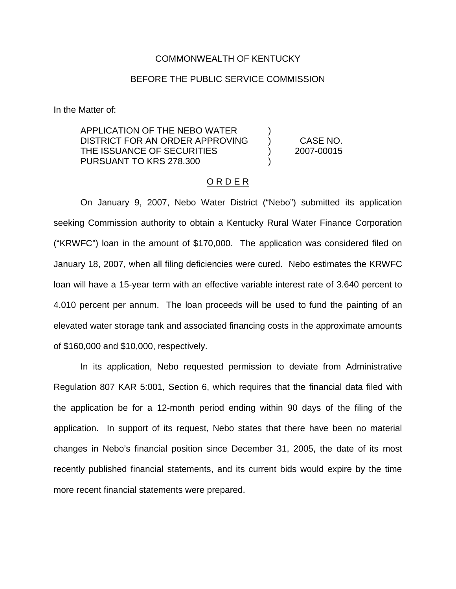## COMMONWEALTH OF KENTUCKY

## BEFORE THE PUBLIC SERVICE COMMISSION

In the Matter of:

APPLICATION OF THE NEBO WATER DISTRICT FOR AN ORDER APPROVING ) CASE NO. THE ISSUANCE OF SECURITIES (2007-00015 PURSUANT TO KRS 278.300

## O R D E R

On January 9, 2007, Nebo Water District ("Nebo") submitted its application seeking Commission authority to obtain a Kentucky Rural Water Finance Corporation ("KRWFC") loan in the amount of \$170,000. The application was considered filed on January 18, 2007, when all filing deficiencies were cured. Nebo estimates the KRWFC loan will have a 15-year term with an effective variable interest rate of 3.640 percent to 4.010 percent per annum. The loan proceeds will be used to fund the painting of an elevated water storage tank and associated financing costs in the approximate amounts of \$160,000 and \$10,000, respectively.

In its application, Nebo requested permission to deviate from Administrative Regulation 807 KAR 5:001, Section 6, which requires that the financial data filed with the application be for a 12-month period ending within 90 days of the filing of the application. In support of its request, Nebo states that there have been no material changes in Nebo's financial position since December 31, 2005, the date of its most recently published financial statements, and its current bids would expire by the time more recent financial statements were prepared.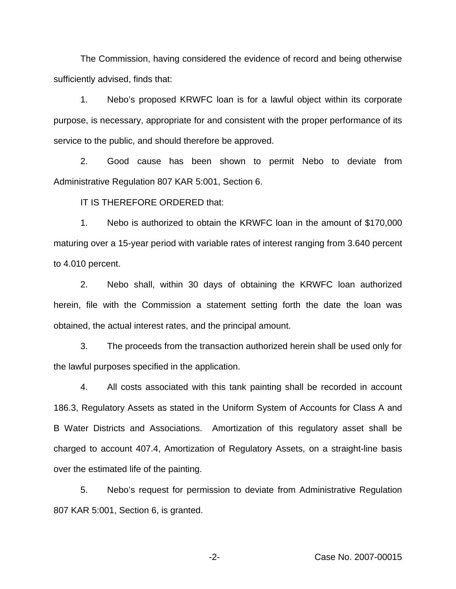The Commission, having considered the evidence of record and being otherwise sufficiently advised, finds that:

1. Nebo's proposed KRWFC loan is for a lawful object within its corporate purpose, is necessary, appropriate for and consistent with the proper performance of its service to the public, and should therefore be approved.

2. Good cause has been shown to permit Nebo to deviate from Administrative Regulation 807 KAR 5:001, Section 6.

IT IS THEREFORE ORDERED that:

1. Nebo is authorized to obtain the KRWFC loan in the amount of \$170,000 maturing over a 15-year period with variable rates of interest ranging from 3.640 percent to 4.010 percent.

2. Nebo shall, within 30 days of obtaining the KRWFC loan authorized herein, file with the Commission a statement setting forth the date the loan was obtained, the actual interest rates, and the principal amount.

3. The proceeds from the transaction authorized herein shall be used only for the lawful purposes specified in the application.

4. All costs associated with this tank painting shall be recorded in account 186.3, Regulatory Assets as stated in the Uniform System of Accounts for Class A and B Water Districts and Associations. Amortization of this regulatory asset shall be charged to account 407.4, Amortization of Regulatory Assets, on a straight-line basis over the estimated life of the painting.

5. Nebo's request for permission to deviate from Administrative Regulation 807 KAR 5:001, Section 6, is granted.

-2- Case No. 2007-00015